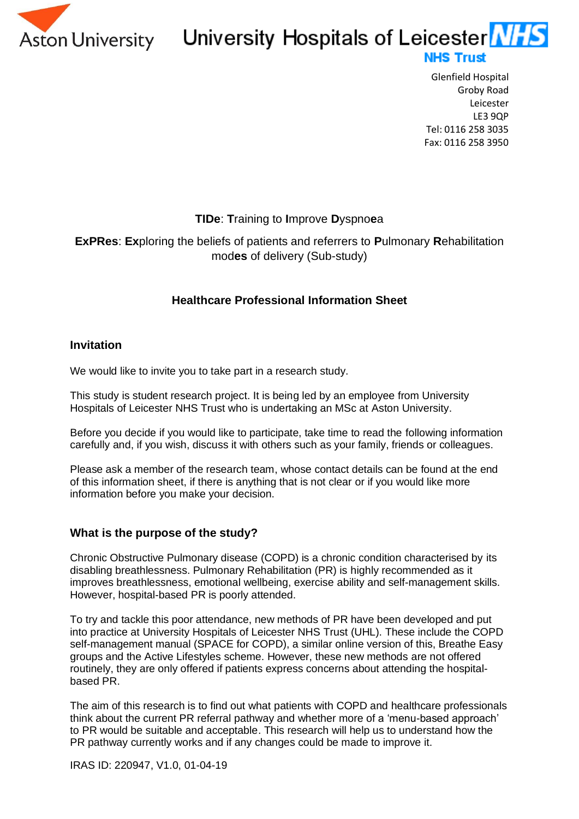

## Aston University University Hospitals of Leicester NHS **NHS Trust**

Glenfield Hospital Groby Road Leicester LE3 9QP Tel: 0116 258 3035 Fax: 0116 258 3950

## **TIDe**: **T**raining to **I**mprove **D**yspno**e**a

## **ExPRes**: **Ex**ploring the beliefs of patients and referrers to **P**ulmonary **R**ehabilitation mod**es** of delivery (Sub-study)

## **Healthcare Professional Information Sheet**

## **Invitation**

We would like to invite you to take part in a research study.

This study is student research project. It is being led by an employee from University Hospitals of Leicester NHS Trust who is undertaking an MSc at Aston University.

Before you decide if you would like to participate, take time to read the following information carefully and, if you wish, discuss it with others such as your family, friends or colleagues.

Please ask a member of the research team, whose contact details can be found at the end of this information sheet, if there is anything that is not clear or if you would like more information before you make your decision.

### **What is the purpose of the study?**

Chronic Obstructive Pulmonary disease (COPD) is a chronic condition characterised by its disabling breathlessness. Pulmonary Rehabilitation (PR) is highly recommended as it improves breathlessness, emotional wellbeing, exercise ability and self-management skills. However, hospital-based PR is poorly attended.

To try and tackle this poor attendance, new methods of PR have been developed and put into practice at University Hospitals of Leicester NHS Trust (UHL). These include the COPD self-management manual (SPACE for COPD), a similar online version of this, Breathe Easy groups and the Active Lifestyles scheme. However, these new methods are not offered routinely, they are only offered if patients express concerns about attending the hospitalbased PR.

The aim of this research is to find out what patients with COPD and healthcare professionals think about the current PR referral pathway and whether more of a 'menu-based approach' to PR would be suitable and acceptable. This research will help us to understand how the PR pathway currently works and if any changes could be made to improve it.

IRAS ID: 220947, V1.0, 01-04-19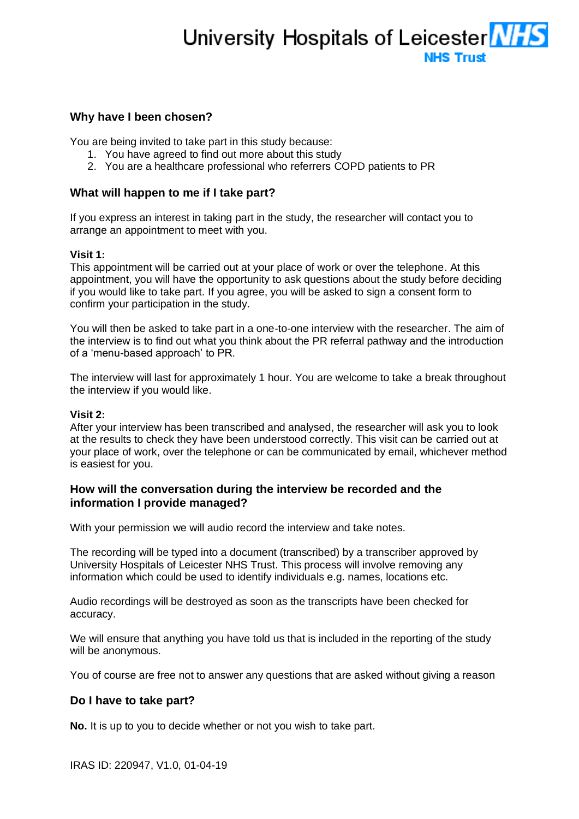# University Hospitals of Leicester **NHS NHS Trust**

#### **Why have I been chosen?**

You are being invited to take part in this study because:

- 1. You have agreed to find out more about this study
- 2. You are a healthcare professional who referrers COPD patients to PR

#### **What will happen to me if I take part?**

If you express an interest in taking part in the study, the researcher will contact you to arrange an appointment to meet with you.

#### **Visit 1:**

This appointment will be carried out at your place of work or over the telephone. At this appointment, you will have the opportunity to ask questions about the study before deciding if you would like to take part. If you agree, you will be asked to sign a consent form to confirm your participation in the study.

You will then be asked to take part in a one-to-one interview with the researcher. The aim of the interview is to find out what you think about the PR referral pathway and the introduction of a 'menu-based approach' to PR.

The interview will last for approximately 1 hour. You are welcome to take a break throughout the interview if you would like.

#### **Visit 2:**

After your interview has been transcribed and analysed, the researcher will ask you to look at the results to check they have been understood correctly. This visit can be carried out at your place of work, over the telephone or can be communicated by email, whichever method is easiest for you.

#### **How will the conversation during the interview be recorded and the information I provide managed?**

With your permission we will audio record the interview and take notes.

The recording will be typed into a document (transcribed) by a transcriber approved by University Hospitals of Leicester NHS Trust. This process will involve removing any information which could be used to identify individuals e.g. names, locations etc.

Audio recordings will be destroyed as soon as the transcripts have been checked for accuracy.

We will ensure that anything you have told us that is included in the reporting of the study will be anonymous.

You of course are free not to answer any questions that are asked without giving a reason

#### **Do I have to take part?**

**No.** It is up to you to decide whether or not you wish to take part.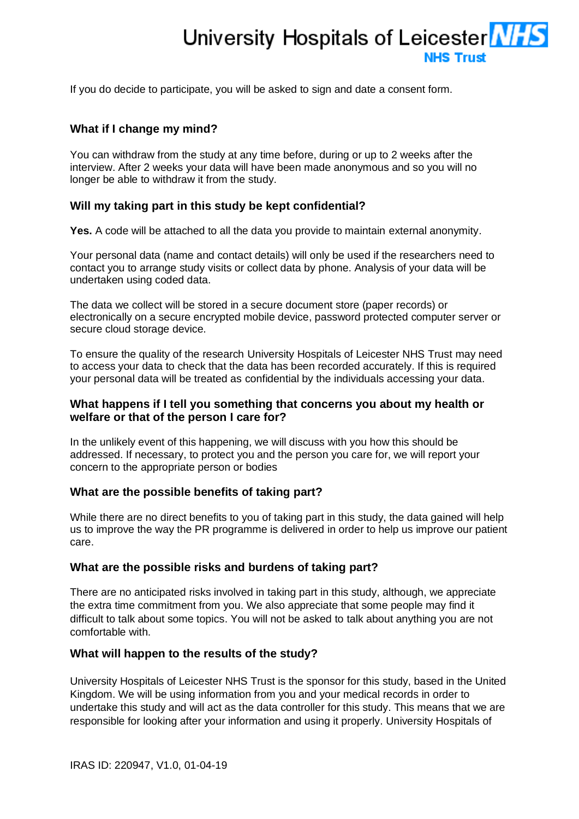# University Hospitals of Leicester MHS **NHS Trust**

If you do decide to participate, you will be asked to sign and date a consent form.

#### **What if I change my mind?**

You can withdraw from the study at any time before, during or up to 2 weeks after the interview. After 2 weeks your data will have been made anonymous and so you will no longer be able to withdraw it from the study.

#### **Will my taking part in this study be kept confidential?**

**Yes.** A code will be attached to all the data you provide to maintain external anonymity.

Your personal data (name and contact details) will only be used if the researchers need to contact you to arrange study visits or collect data by phone. Analysis of your data will be undertaken using coded data.

The data we collect will be stored in a secure document store (paper records) or electronically on a secure encrypted mobile device, password protected computer server or secure cloud storage device.

To ensure the quality of the research University Hospitals of Leicester NHS Trust may need to access your data to check that the data has been recorded accurately. If this is required your personal data will be treated as confidential by the individuals accessing your data.

#### **What happens if I tell you something that concerns you about my health or welfare or that of the person I care for?**

In the unlikely event of this happening, we will discuss with you how this should be addressed. If necessary, to protect you and the person you care for, we will report your concern to the appropriate person or bodies

#### **What are the possible benefits of taking part?**

While there are no direct benefits to you of taking part in this study, the data gained will help us to improve the way the PR programme is delivered in order to help us improve our patient care.

### **What are the possible risks and burdens of taking part?**

There are no anticipated risks involved in taking part in this study, although, we appreciate the extra time commitment from you. We also appreciate that some people may find it difficult to talk about some topics. You will not be asked to talk about anything you are not comfortable with.

#### **What will happen to the results of the study?**

University Hospitals of Leicester NHS Trust is the sponsor for this study, based in the United Kingdom. We will be using information from you and your medical records in order to undertake this study and will act as the data controller for this study. This means that we are responsible for looking after your information and using it properly. University Hospitals of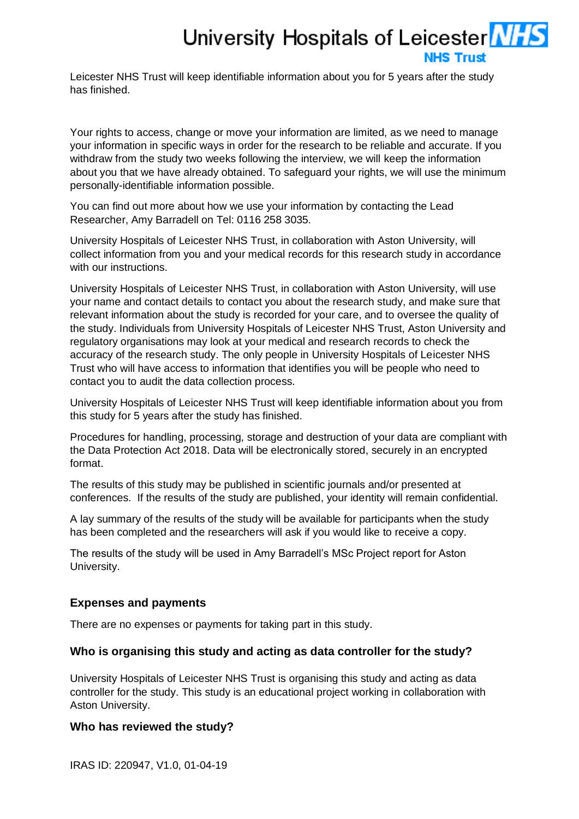# University Hospitals of Leicester **NHS NHS Trust**

Leicester NHS Trust will keep identifiable information about you for 5 years after the study has finished.

Your rights to access, change or move your information are limited, as we need to manage your information in specific ways in order for the research to be reliable and accurate. If you withdraw from the study two weeks following the interview, we will keep the information about you that we have already obtained. To safeguard your rights, we will use the minimum personally-identifiable information possible.

You can find out more about how we use your information by contacting the Lead Researcher, Amy Barradell on Tel: 0116 258 3035.

University Hospitals of Leicester NHS Trust, in collaboration with Aston University, will collect information from you and your medical records for this research study in accordance with our instructions.

University Hospitals of Leicester NHS Trust, in collaboration with Aston University, will use your name and contact details to contact you about the research study, and make sure that relevant information about the study is recorded for your care, and to oversee the quality of the study. Individuals from University Hospitals of Leicester NHS Trust, Aston University and regulatory organisations may look at your medical and research records to check the accuracy of the research study. The only people in University Hospitals of Leicester NHS Trust who will have access to information that identifies you will be people who need to contact you to audit the data collection process.

University Hospitals of Leicester NHS Trust will keep identifiable information about you from this study for 5 years after the study has finished.

Procedures for handling, processing, storage and destruction of your data are compliant with the Data Protection Act 2018. Data will be electronically stored, securely in an encrypted format.

The results of this study may be published in scientific journals and/or presented at conferences. If the results of the study are published, your identity will remain confidential.

A lay summary of the results of the study will be available for participants when the study has been completed and the researchers will ask if you would like to receive a copy.

The results of the study will be used in Amy Barradell's MSc Project report for Aston University.

#### **Expenses and payments**

There are no expenses or payments for taking part in this study.

#### **Who is organising this study and acting as data controller for the study?**

University Hospitals of Leicester NHS Trust is organising this study and acting as data controller for the study. This study is an educational project working in collaboration with Aston University.

#### **Who has reviewed the study?**

IRAS ID: 220947, V1.0, 01-04-19